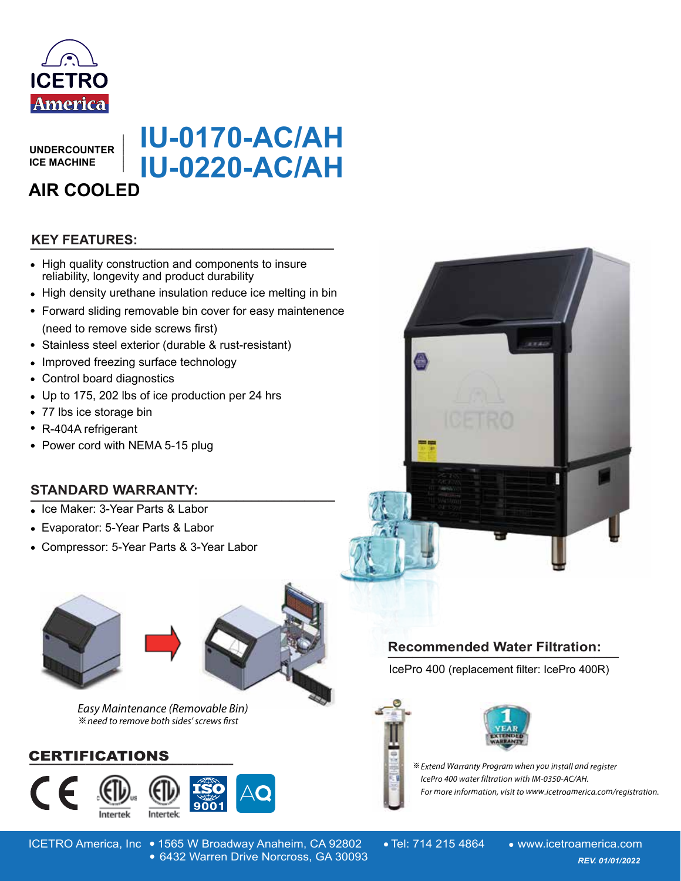

**UNDERCOUNTER ICE MACHINE**

# U -U I / U -U I / U -A L /A F<br>
ICE MACHINE<br>
CE MACHINE<br>
AIR COOLED<br>
KEY FEATURES:<br>
• High quality construction and components to insure<br>
reliability, longevity and product durability<br>
• High density urethane insulation red **AIR COOLED IU-0170-AC/AH IU-0220-AC/AH**

# **\_\_\_\_\_\_\_\_\_\_\_\_\_\_\_\_\_\_\_\_\_\_\_\_\_\_\_\_\_\_ KEY FEATURES:**

- High quality construction and components to insure reliability, longevity and product durability
- High density urethane insulation reduce ice melting in bin
- Forward sliding removable bin cover for easy maintenence (need to remove side screws first)
- Stainless steel exterior (durable & rust-resistant)
- Improved freezing surface technology
- Control board diagnostics
- Up to 175, 202 lbs of ice production per 24 hrs
- 77 lbs ice storage bin
- R-404A refrigerant
- Power cord with NEMA 5-15 plug

## **STANDARD WARRANTY:**

- Ice Maker: 3-Year Parts & Labor
- Evaporator: 5-Year Parts & Labor
- Compressor: 5-Year Parts & 3-Year Labor



**Easy Maintenance (Removable Bin)** ※

## CERTIFICATIONS **\_\_\_\_\_\_\_\_\_\_\_\_\_\_\_\_\_\_\_\_\_\_\_\_\_\_\_\_\_\_\_\_\_\_\_\_\_\_\_\_**



ICETRO America, Inc • 1565 W Broadway Anaheim, CA 92802 • Tel: 714 215 4864 • www.icetroamerica.com 6432 Warren Drive Norcross, GA 30093 *REV. 01/01/2022* 6432 Warren Drive Norcross, GA 30093

# **Recommended Water Filtration: \_\_\_\_\_\_\_\_\_\_\_\_\_\_\_\_\_\_\_**

IcePro 400 (replacement filter: IcePro 400R)





**Extend Warranty Program when you install and register**  *-* For more information, visit to www.icetroamerica.com/registration.